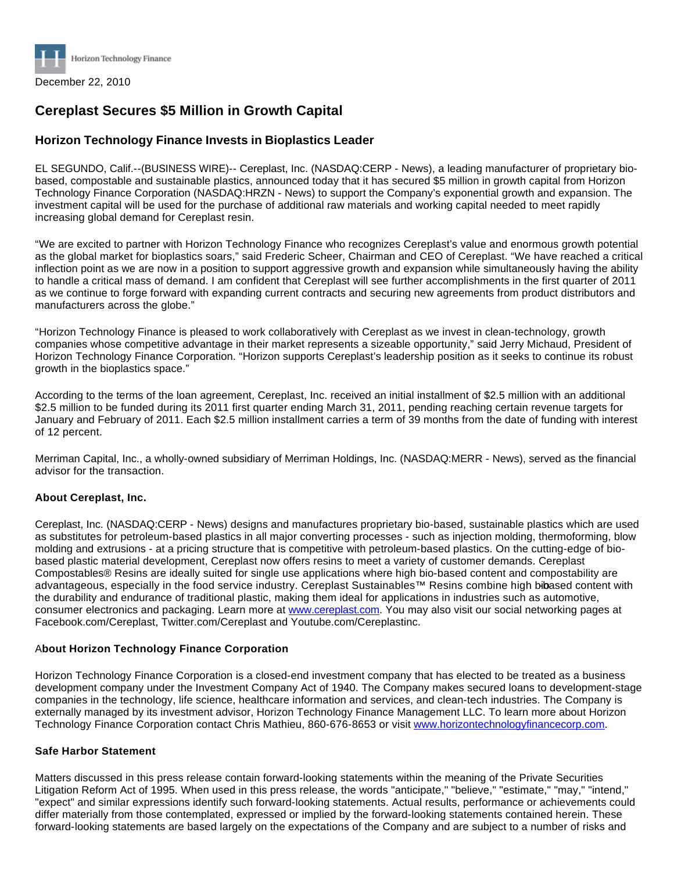

# **Cereplast Secures \$5 Million in Growth Capital**

## **Horizon Technology Finance Invests in Bioplastics Leader**

EL SEGUNDO, Calif.--(BUSINESS WIRE)-- Cereplast, Inc. (NASDAQ:CERP - News), a leading manufacturer of proprietary biobased, compostable and sustainable plastics, announced today that it has secured \$5 million in growth capital from Horizon Technology Finance Corporation (NASDAQ:HRZN - News) to support the Company's exponential growth and expansion. The investment capital will be used for the purchase of additional raw materials and working capital needed to meet rapidly increasing global demand for Cereplast resin.

"We are excited to partner with Horizon Technology Finance who recognizes Cereplast's value and enormous growth potential as the global market for bioplastics soars," said Frederic Scheer, Chairman and CEO of Cereplast. "We have reached a critical inflection point as we are now in a position to support aggressive growth and expansion while simultaneously having the ability to handle a critical mass of demand. I am confident that Cereplast will see further accomplishments in the first quarter of 2011 as we continue to forge forward with expanding current contracts and securing new agreements from product distributors and manufacturers across the globe."

"Horizon Technology Finance is pleased to work collaboratively with Cereplast as we invest in clean-technology, growth companies whose competitive advantage in their market represents a sizeable opportunity," said Jerry Michaud, President of Horizon Technology Finance Corporation. "Horizon supports Cereplast's leadership position as it seeks to continue its robust growth in the bioplastics space."

According to the terms of the loan agreement, Cereplast, Inc. received an initial installment of \$2.5 million with an additional \$2.5 million to be funded during its 2011 first quarter ending March 31, 2011, pending reaching certain revenue targets for January and February of 2011. Each \$2.5 million installment carries a term of 39 months from the date of funding with interest of 12 percent.

Merriman Capital, Inc., a wholly-owned subsidiary of Merriman Holdings, Inc. (NASDAQ:MERR - News), served as the financial advisor for the transaction.

### **About Cereplast, Inc.**

Cereplast, Inc. (NASDAQ:CERP - News) designs and manufactures proprietary bio-based, sustainable plastics which are used as substitutes for petroleum-based plastics in all major converting processes - such as injection molding, thermoforming, blow molding and extrusions - at a pricing structure that is competitive with petroleum-based plastics. On the cutting-edge of biobased plastic material development, Cereplast now offers resins to meet a variety of customer demands. Cereplast Compostables® Resins are ideally suited for single use applications where high bio-based content and compostability are advantageous, especially in the food service industry. Cereplast Sustainables™ Resins combine high bibased content with the durability and endurance of traditional plastic, making them ideal for applications in industries such as automotive, consumer electronics and packaging. Learn more at [www.cereplast.com.](http://www.cereplast.com/) You may also visit our social networking pages at Facebook.com/Cereplast, Twitter.com/Cereplast and Youtube.com/Cereplastinc.

### A**bout Horizon Technology Finance Corporation**

Horizon Technology Finance Corporation is a closed-end investment company that has elected to be treated as a business development company under the Investment Company Act of 1940. The Company makes secured loans to development-stage companies in the technology, life science, healthcare information and services, and clean-tech industries. The Company is externally managed by its investment advisor, Horizon Technology Finance Management LLC. To learn more about Horizon Technology Finance Corporation contact Chris Mathieu, 860-676-8653 or visit [www.horizontechnologyfinancecorp.com.](http://www.horizontechnologyfinancecorp.com/)

### **Safe Harbor Statement**

Matters discussed in this press release contain forward-looking statements within the meaning of the Private Securities Litigation Reform Act of 1995. When used in this press release, the words "anticipate," "believe," "estimate," "may," "intend," "expect" and similar expressions identify such forward-looking statements. Actual results, performance or achievements could differ materially from those contemplated, expressed or implied by the forward-looking statements contained herein. These forward-looking statements are based largely on the expectations of the Company and are subject to a number of risks and